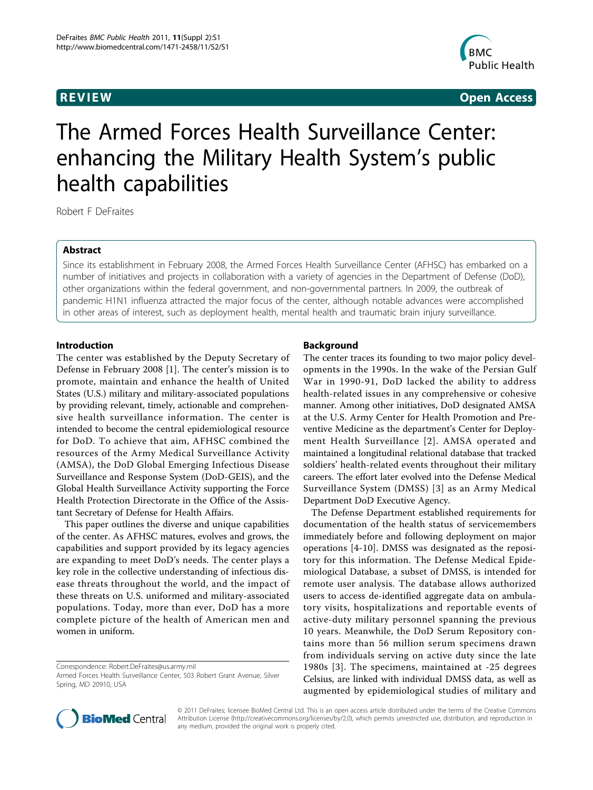

**REVIEW REVIEW CONSTRUCTER ACCESS** 

# The Armed Forces Health Surveillance Center: enhancing the Military Health System's public health capabilities

Robert F DeFraites

# Abstract

Since its establishment in February 2008, the Armed Forces Health Surveillance Center (AFHSC) has embarked on a number of initiatives and projects in collaboration with a variety of agencies in the Department of Defense (DoD), other organizations within the federal government, and non-governmental partners. In 2009, the outbreak of pandemic H1N1 influenza attracted the major focus of the center, although notable advances were accomplished in other areas of interest, such as deployment health, mental health and traumatic brain injury surveillance.

#### Introduction

The center was established by the Deputy Secretary of Defense in February 2008 [[1\]](#page-3-0). The center's mission is to promote, maintain and enhance the health of United States (U.S.) military and military-associated populations by providing relevant, timely, actionable and comprehensive health surveillance information. The center is intended to become the central epidemiological resource for DoD. To achieve that aim, AFHSC combined the resources of the Army Medical Surveillance Activity (AMSA), the DoD Global Emerging Infectious Disease Surveillance and Response System (DoD-GEIS), and the Global Health Surveillance Activity supporting the Force Health Protection Directorate in the Office of the Assistant Secretary of Defense for Health Affairs.

This paper outlines the diverse and unique capabilities of the center. As AFHSC matures, evolves and grows, the capabilities and support provided by its legacy agencies are expanding to meet DoD's needs. The center plays a key role in the collective understanding of infectious disease threats throughout the world, and the impact of these threats on U.S. uniformed and military-associated populations. Today, more than ever, DoD has a more complete picture of the health of American men and women in uniform.

Correspondence: [Robert.DeFraites@us.army.mil](mailto:Robert.DeFraites@us.army.mil)

# Background

The center traces its founding to two major policy developments in the 1990s. In the wake of the Persian Gulf War in 1990-91, DoD lacked the ability to address health-related issues in any comprehensive or cohesive manner. Among other initiatives, DoD designated AMSA at the U.S. Army Center for Health Promotion and Preventive Medicine as the department's Center for Deployment Health Surveillance [[2](#page-3-0)]. AMSA operated and maintained a longitudinal relational database that tracked soldiers' health-related events throughout their military careers. The effort later evolved into the Defense Medical Surveillance System (DMSS) [[3](#page-3-0)] as an Army Medical Department DoD Executive Agency.

The Defense Department established requirements for documentation of the health status of servicemembers immediately before and following deployment on major operations [[4-10\]](#page-3-0). DMSS was designated as the repository for this information. The Defense Medical Epidemiological Database, a subset of DMSS, is intended for remote user analysis. The database allows authorized users to access de-identified aggregate data on ambulatory visits, hospitalizations and reportable events of active-duty military personnel spanning the previous 10 years. Meanwhile, the DoD Serum Repository contains more than 56 million serum specimens drawn from individuals serving on active duty since the late 1980s [[3](#page-3-0)]. The specimens, maintained at -25 degrees Celsius, are linked with individual DMSS data, as well as augmented by epidemiological studies of military and



© 2011 DeFraites; licensee BioMed Central Ltd. This is an open access article distributed under the terms of the Creative Commons Attribution License [\(http://creativecommons.org/licenses/by/2.0](http://creativecommons.org/licenses/by/2.0)), which permits unrestricted use, distribution, and reproduction in any medium, provided the original work is properly cited.

Armed Forces Health Surveillance Center, 503 Robert Grant Avenue, Silver Spring, MD 20910, USA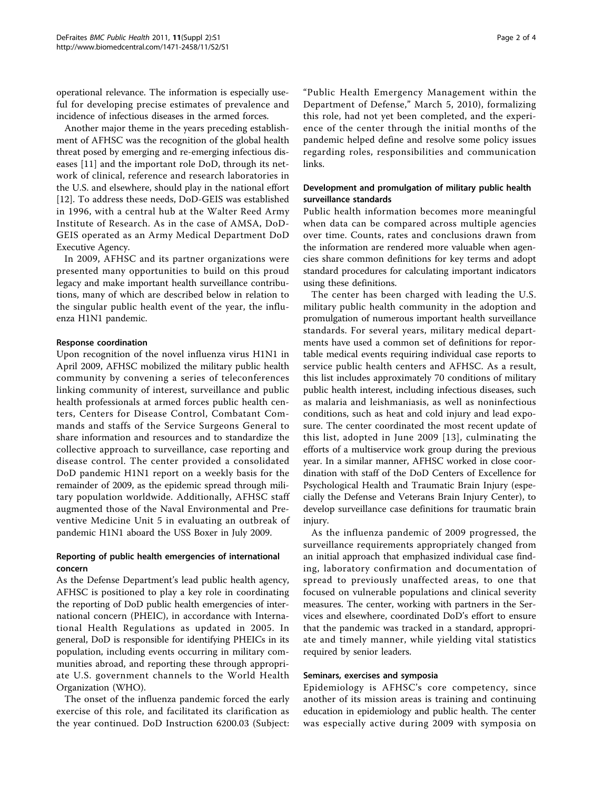operational relevance. The information is especially useful for developing precise estimates of prevalence and incidence of infectious diseases in the armed forces.

Another major theme in the years preceding establishment of AFHSC was the recognition of the global health threat posed by emerging and re-emerging infectious diseases [\[11](#page-3-0)] and the important role DoD, through its network of clinical, reference and research laboratories in the U.S. and elsewhere, should play in the national effort [[12\]](#page-3-0). To address these needs, DoD-GEIS was established in 1996, with a central hub at the Walter Reed Army Institute of Research. As in the case of AMSA, DoD-GEIS operated as an Army Medical Department DoD Executive Agency.

In 2009, AFHSC and its partner organizations were presented many opportunities to build on this proud legacy and make important health surveillance contributions, many of which are described below in relation to the singular public health event of the year, the influenza H1N1 pandemic.

### Response coordination

Upon recognition of the novel influenza virus H1N1 in April 2009, AFHSC mobilized the military public health community by convening a series of teleconferences linking community of interest, surveillance and public health professionals at armed forces public health centers, Centers for Disease Control, Combatant Commands and staffs of the Service Surgeons General to share information and resources and to standardize the collective approach to surveillance, case reporting and disease control. The center provided a consolidated DoD pandemic H1N1 report on a weekly basis for the remainder of 2009, as the epidemic spread through military population worldwide. Additionally, AFHSC staff augmented those of the Naval Environmental and Preventive Medicine Unit 5 in evaluating an outbreak of pandemic H1N1 aboard the USS Boxer in July 2009.

# Reporting of public health emergencies of international concern

As the Defense Department's lead public health agency, AFHSC is positioned to play a key role in coordinating the reporting of DoD public health emergencies of international concern (PHEIC), in accordance with International Health Regulations as updated in 2005. In general, DoD is responsible for identifying PHEICs in its population, including events occurring in military communities abroad, and reporting these through appropriate U.S. government channels to the World Health Organization (WHO).

The onset of the influenza pandemic forced the early exercise of this role, and facilitated its clarification as the year continued. DoD Instruction 6200.03 (Subject:

"Public Health Emergency Management within the Department of Defense," March 5, 2010), formalizing this role, had not yet been completed, and the experience of the center through the initial months of the pandemic helped define and resolve some policy issues regarding roles, responsibilities and communication links.

# Development and promulgation of military public health surveillance standards

Public health information becomes more meaningful when data can be compared across multiple agencies over time. Counts, rates and conclusions drawn from the information are rendered more valuable when agencies share common definitions for key terms and adopt standard procedures for calculating important indicators using these definitions.

The center has been charged with leading the U.S. military public health community in the adoption and promulgation of numerous important health surveillance standards. For several years, military medical departments have used a common set of definitions for reportable medical events requiring individual case reports to service public health centers and AFHSC. As a result, this list includes approximately 70 conditions of military public health interest, including infectious diseases, such as malaria and leishmaniasis, as well as noninfectious conditions, such as heat and cold injury and lead exposure. The center coordinated the most recent update of this list, adopted in June 2009 [[13\]](#page-3-0), culminating the efforts of a multiservice work group during the previous year. In a similar manner, AFHSC worked in close coordination with staff of the DoD Centers of Excellence for Psychological Health and Traumatic Brain Injury (especially the Defense and Veterans Brain Injury Center), to develop surveillance case definitions for traumatic brain injury.

As the influenza pandemic of 2009 progressed, the surveillance requirements appropriately changed from an initial approach that emphasized individual case finding, laboratory confirmation and documentation of spread to previously unaffected areas, to one that focused on vulnerable populations and clinical severity measures. The center, working with partners in the Services and elsewhere, coordinated DoD's effort to ensure that the pandemic was tracked in a standard, appropriate and timely manner, while yielding vital statistics required by senior leaders.

#### Seminars, exercises and symposia

Epidemiology is AFHSC's core competency, since another of its mission areas is training and continuing education in epidemiology and public health. The center was especially active during 2009 with symposia on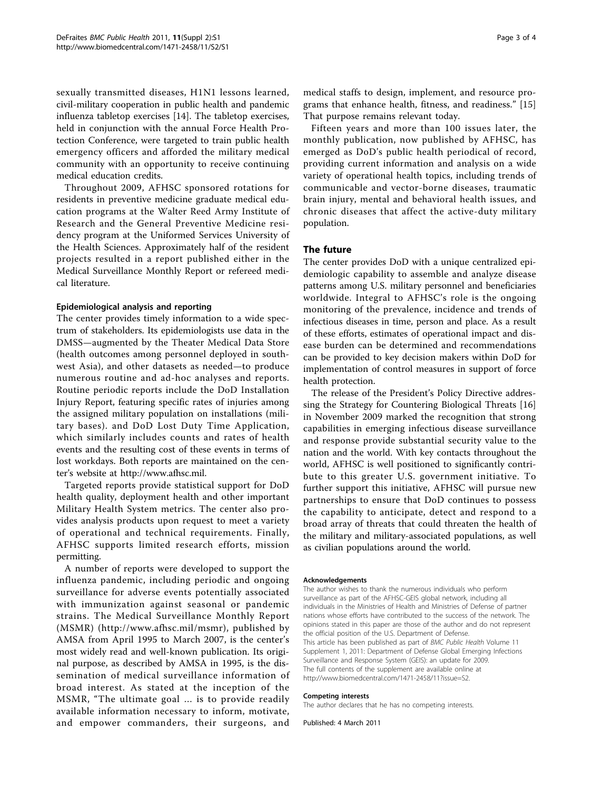sexually transmitted diseases, H1N1 lessons learned, civil-military cooperation in public health and pandemic influenza tabletop exercises [\[14\]](#page-3-0). The tabletop exercises, held in conjunction with the annual Force Health Protection Conference, were targeted to train public health emergency officers and afforded the military medical community with an opportunity to receive continuing medical education credits.

Throughout 2009, AFHSC sponsored rotations for residents in preventive medicine graduate medical education programs at the Walter Reed Army Institute of Research and the General Preventive Medicine residency program at the Uniformed Services University of the Health Sciences. Approximately half of the resident projects resulted in a report published either in the Medical Surveillance Monthly Report or refereed medical literature.

#### Epidemiological analysis and reporting

The center provides timely information to a wide spectrum of stakeholders. Its epidemiologists use data in the DMSS—augmented by the Theater Medical Data Store (health outcomes among personnel deployed in southwest Asia), and other datasets as needed—to produce numerous routine and ad-hoc analyses and reports. Routine periodic reports include the DoD Installation Injury Report, featuring specific rates of injuries among the assigned military population on installations (military bases). and DoD Lost Duty Time Application, which similarly includes counts and rates of health events and the resulting cost of these events in terms of lost workdays. Both reports are maintained on the center's website at [http://www.afhsc.mil.](http://www.afhsc.mil)

Targeted reports provide statistical support for DoD health quality, deployment health and other important Military Health System metrics. The center also provides analysis products upon request to meet a variety of operational and technical requirements. Finally, AFHSC supports limited research efforts, mission permitting.

A number of reports were developed to support the influenza pandemic, including periodic and ongoing surveillance for adverse events potentially associated with immunization against seasonal or pandemic strains. The Medical Surveillance Monthly Report (MSMR) (<http://www.afhsc.mil/msmr>), published by AMSA from April 1995 to March 2007, is the center's most widely read and well-known publication. Its original purpose, as described by AMSA in 1995, is the dissemination of medical surveillance information of broad interest. As stated at the inception of the MSMR, "The ultimate goal … is to provide readily available information necessary to inform, motivate, and empower commanders, their surgeons, and medical staffs to design, implement, and resource programs that enhance health, fitness, and readiness." [\[15](#page-3-0)] That purpose remains relevant today.

Fifteen years and more than 100 issues later, the monthly publication, now published by AFHSC, has emerged as DoD's public health periodical of record, providing current information and analysis on a wide variety of operational health topics, including trends of communicable and vector-borne diseases, traumatic brain injury, mental and behavioral health issues, and chronic diseases that affect the active-duty military population.

### The future

The center provides DoD with a unique centralized epidemiologic capability to assemble and analyze disease patterns among U.S. military personnel and beneficiaries worldwide. Integral to AFHSC's role is the ongoing monitoring of the prevalence, incidence and trends of infectious diseases in time, person and place. As a result of these efforts, estimates of operational impact and disease burden can be determined and recommendations can be provided to key decision makers within DoD for implementation of control measures in support of force health protection.

The release of the President's Policy Directive addressing the Strategy for Countering Biological Threats [\[16](#page-3-0)] in November 2009 marked the recognition that strong capabilities in emerging infectious disease surveillance and response provide substantial security value to the nation and the world. With key contacts throughout the world, AFHSC is well positioned to significantly contribute to this greater U.S. government initiative. To further support this initiative, AFHSC will pursue new partnerships to ensure that DoD continues to possess the capability to anticipate, detect and respond to a broad array of threats that could threaten the health of the military and military-associated populations, as well as civilian populations around the world.

#### Acknowledgements

The author wishes to thank the numerous individuals who perform surveillance as part of the AFHSC-GEIS global network, including all individuals in the Ministries of Health and Ministries of Defense of partner nations whose efforts have contributed to the success of the network. The opinions stated in this paper are those of the author and do not represent the official position of the U.S. Department of Defense. This article has been published as part of BMC Public Health Volume 11 Supplement 1, 2011: Department of Defense Global Emerging Infections Surveillance and Response System (GEIS): an update for 2009. The full contents of the supplement are available online at [http://www.biomedcentral.com/1471-2458/11?issue=S2.](http://www.biomedcentral.com/1471-2458/11?issue=S2)

#### Competing interests

The author declares that he has no competing interests.

Published: 4 March 2011